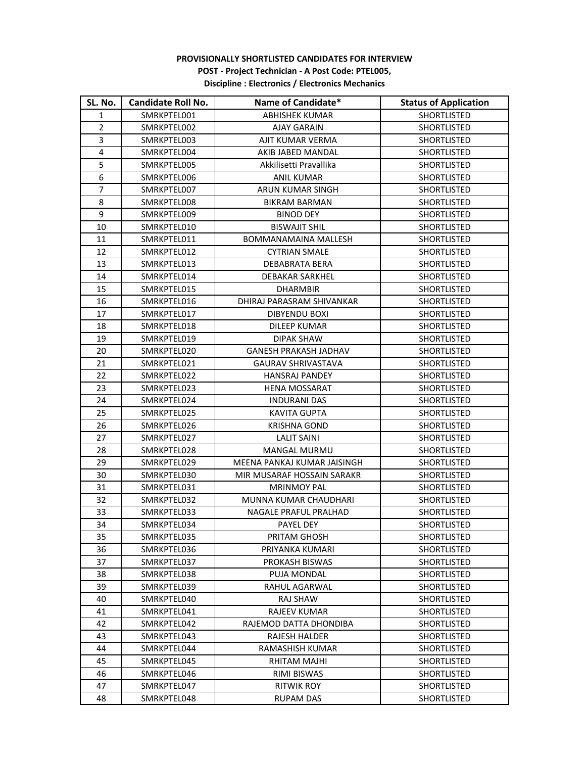## **PROVISIONALLY SHORTLISTED CANDIDATES FOR INTERVIEW POST - Project Technician - A Post Code: PTEL005, Discipline : Electronics / Electronics Mechanics**

| SL. No.        | <b>Candidate Roll No.</b> | Name of Candidate*           | <b>Status of Application</b> |
|----------------|---------------------------|------------------------------|------------------------------|
| 1              | SMRKPTEL001               | <b>ABHISHEK KUMAR</b>        | <b>SHORTLISTED</b>           |
| $\overline{2}$ | SMRKPTEL002               | <b>AJAY GARAIN</b>           | SHORTLISTED                  |
| 3              | SMRKPTEL003               | AJIT KUMAR VERMA             | SHORTLISTED                  |
| 4              | SMRKPTEL004               | AKIB JABED MANDAL            | <b>SHORTLISTED</b>           |
| 5              | SMRKPTEL005               | Akkilisetti Pravallika       | SHORTLISTED                  |
| 6              | SMRKPTEL006               | ANIL KUMAR                   | SHORTLISTED                  |
| 7              | SMRKPTEL007               | ARUN KUMAR SINGH             | <b>SHORTLISTED</b>           |
| 8              | SMRKPTEL008               | <b>BIKRAM BARMAN</b>         | SHORTLISTED                  |
| 9              | SMRKPTEL009               | <b>BINOD DEY</b>             | SHORTLISTED                  |
| 10             | SMRKPTEL010               | <b>BISWAJIT SHIL</b>         | SHORTLISTED                  |
| 11             | SMRKPTEL011               | BOMMANAMAINA MALLESH         | SHORTLISTED                  |
| 12             | SMRKPTEL012               | <b>CYTRIAN SMALE</b>         | SHORTLISTED                  |
| 13             | SMRKPTEL013               | <b>DEBABRATA BERA</b>        | <b>SHORTLISTED</b>           |
| 14             | SMRKPTEL014               | <b>DEBAKAR SARKHEL</b>       | SHORTLISTED                  |
| 15             | SMRKPTEL015               | <b>DHARMBIR</b>              | <b>SHORTLISTED</b>           |
| 16             | SMRKPTEL016               | DHIRAJ PARASRAM SHIVANKAR    | <b>SHORTLISTED</b>           |
| 17             | SMRKPTEL017               | DIBYENDU BOXI                | <b>SHORTLISTED</b>           |
| 18             | SMRKPTEL018               | DILEEP KUMAR                 | <b>SHORTLISTED</b>           |
| 19             | SMRKPTEL019               | DIPAK SHAW                   | <b>SHORTLISTED</b>           |
| 20             | SMRKPTEL020               | <b>GANESH PRAKASH JADHAV</b> | <b>SHORTLISTED</b>           |
| 21             | SMRKPTEL021               | <b>GAURAV SHRIVASTAVA</b>    | <b>SHORTLISTED</b>           |
| 22             | SMRKPTEL022               | <b>HANSRAJ PANDEY</b>        | <b>SHORTLISTED</b>           |
| 23             | SMRKPTEL023               | HENA MOSSARAT                | <b>SHORTLISTED</b>           |
| 24             | SMRKPTEL024               | <b>INDURANI DAS</b>          | SHORTLISTED                  |
| 25             | SMRKPTEL025               | <b>KAVITA GUPTA</b>          | <b>SHORTLISTED</b>           |
| 26             | SMRKPTEL026               | <b>KRISHNA GOND</b>          | <b>SHORTLISTED</b>           |
| 27             | SMRKPTEL027               | <b>LALIT SAINI</b>           | <b>SHORTLISTED</b>           |
| 28             | SMRKPTEL028               | MANGAL MURMU                 | SHORTLISTED                  |
| 29             | SMRKPTEL029               | MEENA PANKAJ KUMAR JAISINGH  | <b>SHORTLISTED</b>           |
| 30             | SMRKPTEL030               | MIR MUSARAF HOSSAIN SARAKR   | SHORTLISTED                  |
| 31             | SMRKPTEL031               | <b>MRINMOY PAL</b>           | SHORTLISTED                  |
| 32             | SMRKPTEL032               | MUNNA KUMAR CHAUDHARI        | SHORTLISTED                  |
| 33             | SMRKPTEL033               | NAGALE PRAFUL PRALHAD        | SHORTLISTED                  |
| 34             | SMRKPTEL034               | PAYEL DEY                    | SHORTLISTED                  |
| 35             | SMRKPTEL035               | PRITAM GHOSH                 | SHORTLISTED                  |
| 36             | SMRKPTEL036               | PRIYANKA KUMARI              | <b>SHORTLISTED</b>           |
| 37             | SMRKPTEL037               | PROKASH BISWAS               | SHORTLISTED                  |
| 38             | SMRKPTEL038               | <b>PUJA MONDAL</b>           | SHORTLISTED                  |
| 39             | SMRKPTEL039               | RAHUL AGARWAL                | <b>SHORTLISTED</b>           |
| 40             | SMRKPTEL040               | RAJ SHAW                     | <b>SHORTLISTED</b>           |
| 41             | SMRKPTEL041               | RAJEEV KUMAR                 | SHORTLISTED                  |
| 42             | SMRKPTEL042               | RAJEMOD DATTA DHONDIBA       | <b>SHORTLISTED</b>           |
| 43             | SMRKPTEL043               | RAJESH HALDER                | SHORTLISTED                  |
| 44             | SMRKPTEL044               | RAMASHISH KUMAR              | <b>SHORTLISTED</b>           |
| 45             | SMRKPTEL045               | RHITAM MAJHI                 | <b>SHORTLISTED</b>           |
| 46             | SMRKPTEL046               | RIMI BISWAS                  | <b>SHORTLISTED</b>           |
| 47             | SMRKPTEL047               | <b>RITWIK ROY</b>            | SHORTLISTED                  |
| 48             | SMRKPTEL048               | RUPAM DAS                    | SHORTLISTED                  |